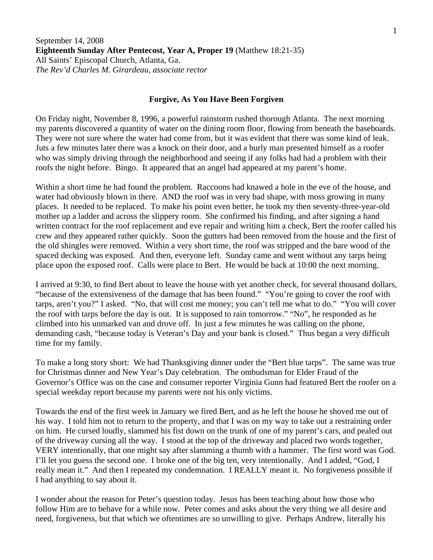## September 14, 2008 **Eighteenth Sunday After Pentecost, Year A, Proper 19** (Matthew 18:21-35) All Saints' Episcopal Church, Atlanta, Ga. *The Rev'd Charles M. Girardeau, associate rector*

## **Forgive, As You Have Been Forgiven**

On Friday night, November 8, 1996, a powerful rainstorm rushed thorough Atlanta. The next morning my parents discovered a quantity of water on the dining room floor, flowing from beneath the baseboards. They were not sure where the water had come from, but it was evident that there was some kind of leak. Juts a few minutes later there was a knock on their door, and a burly man presented himself as a roofer who was simply driving through the neighborhood and seeing if any folks had had a problem with their roofs the night before. Bingo. It appeared that an angel had appeared at my parent's home.

Within a short time he had found the problem. Raccoons had knawed a hole in the eve of the house, and water had obviously blown in there. AND the roof was in very bad shape, with moss growing in many places. It needed to be replaced. To make his point even better, he took my then seventy-three-year-old mother up a ladder and across the slippery room. She confirmed his finding, and after signing a hand written contract for the roof replacement and eve repair and writing him a check, Bert the roofer called his crew and they appeared rather quickly. Soon the gutters had been removed from the house and the first of the old shingles were removed. Within a very short time, the roof was stripped and the bare wood of the spaced decking was exposed. And then, everyone left. Sunday came and went without any tarps being place upon the exposed roof. Calls were place to Bert. He would be back at 10:00 the next morning.

I arrived at 9:30, to find Bert about to leave the house with yet another check, for several thousand dollars, "because of the extensiveness of the damage that has been found." "You're going to cover the roof with tarps, aren't you?" I asked. "No, that will cost me money; you can't tell me what to do." "You will cover the roof with tarps before the day is out. It is supposed to rain tomorrow." "No", he responded as he climbed into his unmarked van and drove off. In just a few minutes he was calling on the phone, demanding cash, "because today is Veteran's Day and your bank is closed." Thus began a very difficult time for my family.

To make a long story short: We had Thanksgiving dinner under the "Bert blue tarps". The same was true for Christmas dinner and New Year's Day celebration. The ombudsman for Elder Fraud of the Governor's Office was on the case and consumer reporter Virginia Gunn had featured Bert the roofer on a special weekday report because my parents were not his only victims.

Towards the end of the first week in January we fired Bert, and as he left the house he shoved me out of his way. I told him not to return to the property, and that I was on my way to take out a restraining order on him. He cursed loudly, slammed his fist down on the trunk of one of my parent's cars, and pealed out of the driveway cursing all the way. I stood at the top of the driveway and placed two words together, VERY intentionally, that one might say after slamming a thumb with a hammer. The first word was God. I'll let you guess the second one. I broke one of the big ten, very intentionally. And I added, "God, I really mean it." And then I repeated my condemnation. I REALLY meant it. No forgiveness possible if I had anything to say about it.

I wonder about the reason for Peter's question today. Jesus has been teaching about how those who follow Him are to behave for a while now. Peter comes and asks about the very thing we all desire and need, forgiveness, but that which we oftentimes are so unwilling to give. Perhaps Andrew, literally his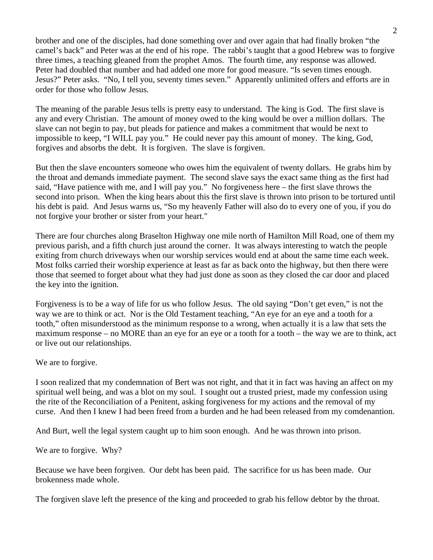brother and one of the disciples, had done something over and over again that had finally broken "the camel's back" and Peter was at the end of his rope. The rabbi's taught that a good Hebrew was to forgive three times, a teaching gleaned from the prophet Amos. The fourth time, any response was allowed. Peter had doubled that number and had added one more for good measure. "Is seven times enough. Jesus?" Peter asks. "No, I tell you, seventy times seven." Apparently unlimited offers and efforts are in order for those who follow Jesus.

The meaning of the parable Jesus tells is pretty easy to understand. The king is God. The first slave is any and every Christian. The amount of money owed to the king would be over a million dollars. The slave can not begin to pay, but pleads for patience and makes a commitment that would be next to impossible to keep, "I WILL pay you." He could never pay this amount of money. The king, God, forgives and absorbs the debt. It is forgiven. The slave is forgiven.

But then the slave encounters someone who owes him the equivalent of twenty dollars. He grabs him by the throat and demands immediate payment. The second slave says the exact same thing as the first had said, "Have patience with me, and I will pay you." No forgiveness here – the first slave throws the second into prison. When the king hears about this the first slave is thrown into prison to be tortured until his debt is paid. And Jesus warns us, "So my heavenly Father will also do to every one of you, if you do not forgive your brother or sister from your heart."

There are four churches along Braselton Highway one mile north of Hamilton Mill Road, one of them my previous parish, and a fifth church just around the corner. It was always interesting to watch the people exiting from church driveways when our worship services would end at about the same time each week. Most folks carried their worship experience at least as far as back onto the highway, but then there were those that seemed to forget about what they had just done as soon as they closed the car door and placed the key into the ignition.

Forgiveness is to be a way of life for us who follow Jesus. The old saying "Don't get even," is not the way we are to think or act. Nor is the Old Testament teaching, "An eye for an eye and a tooth for a tooth," often misunderstood as the minimum response to a wrong, when actually it is a law that sets the maximum response – no MORE than an eye for an eye or a tooth for a tooth – the way we are to think, act or live out our relationships.

We are to forgive.

I soon realized that my condemnation of Bert was not right, and that it in fact was having an affect on my spiritual well being, and was a blot on my soul. I sought out a trusted priest, made my confession using the rite of the Reconciliation of a Penitent, asking forgiveness for my actions and the removal of my curse. And then I knew I had been freed from a burden and he had been released from my comdenantion.

And Burt, well the legal system caught up to him soon enough. And he was thrown into prison.

We are to forgive. Why?

Because we have been forgiven. Our debt has been paid. The sacrifice for us has been made. Our brokenness made whole.

The forgiven slave left the presence of the king and proceeded to grab his fellow debtor by the throat.